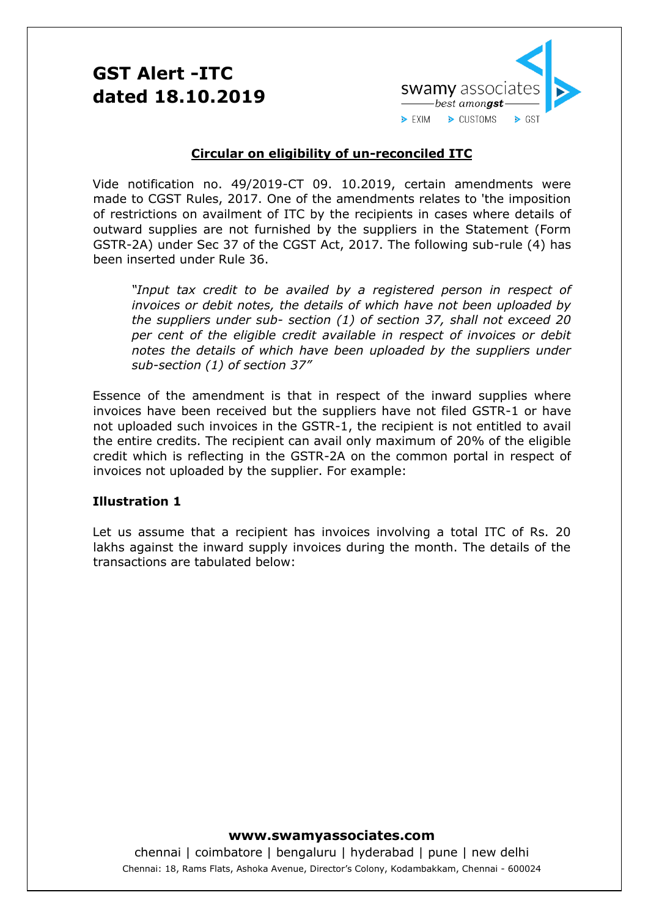# **GST Alert -ITC dated 18.10.2019**



### **Circular on eligibility of un-reconciled ITC**

Vide notification no. 49/2019-CT 09. 10.2019, certain amendments were made to CGST Rules, 2017. One of the amendments relates to 'the imposition of restrictions on availment of ITC by the recipients in cases where details of outward supplies are not furnished by the suppliers in the Statement (Form GSTR-2A) under Sec 37 of the CGST Act, 2017. The following sub-rule (4) has been inserted under Rule 36.

*"Input tax credit to be availed by a registered person in respect of invoices or debit notes, the details of which have not been uploaded by the suppliers under sub- section (1) of section 37, shall not exceed 20 per cent of the eligible credit available in respect of invoices or debit notes the details of which have been uploaded by the suppliers under sub-section (1) of section 37"*

Essence of the amendment is that in respect of the inward supplies where invoices have been received but the suppliers have not filed GSTR-1 or have not uploaded such invoices in the GSTR-1, the recipient is not entitled to avail the entire credits. The recipient can avail only maximum of 20% of the eligible credit which is reflecting in the GSTR-2A on the common portal in respect of invoices not uploaded by the supplier. For example:

### **Illustration 1**

Let us assume that a recipient has invoices involving a total ITC of Rs. 20 lakhs against the inward supply invoices during the month. The details of the transactions are tabulated below:

### **www.swamyassociates.com**

chennai | coimbatore | bengaluru | hyderabad | pune | new delhi Chennai: 18, Rams Flats, Ashoka Avenue, Director's Colony, Kodambakkam, Chennai - 600024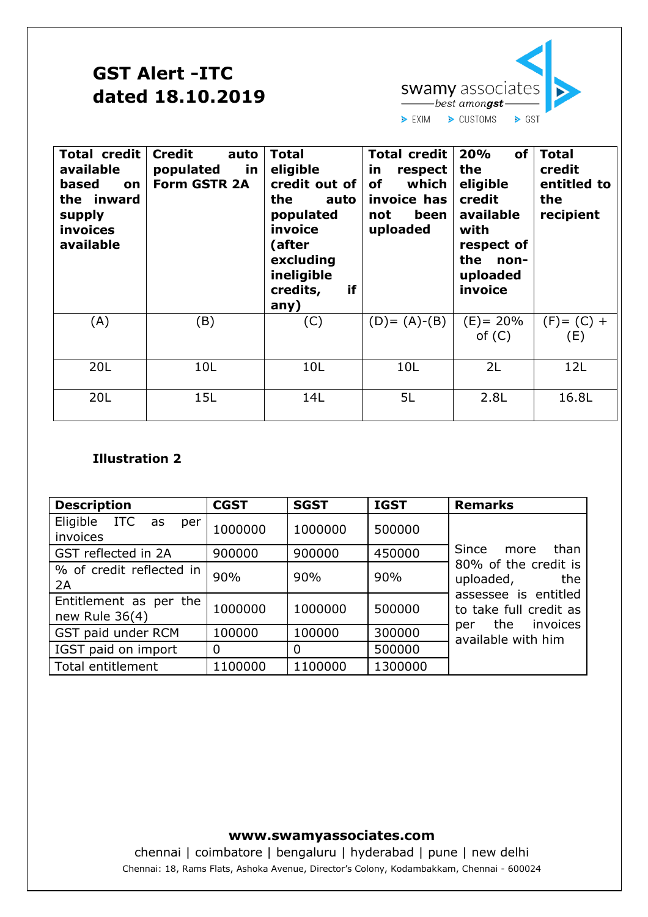# **GST Alert -ITC dated 18.10.2019**



| <b>Total credit</b><br>available<br>based<br><b>on</b><br>the inward<br>supply<br>invoices<br>available | <b>Credit</b><br>auto<br>populated<br><u>in</u><br><b>Form GSTR 2A</b> | <b>Total</b><br>eligible<br>credit out of<br>the<br>auto<br>populated<br>invoice<br>(after<br>excluding<br>ineligible<br>if<br>credits,<br>any) | <b>Total credit</b><br>in<br>respect<br>of<br>which<br>invoice has<br>been<br>not<br>uploaded | 20%<br><b>of</b><br>the<br>eligible<br>credit<br>available<br>with<br>respect of<br>the<br>non-<br>uploaded<br>invoice | <b>Total</b><br>credit<br>entitled to<br>the<br>recipient |
|---------------------------------------------------------------------------------------------------------|------------------------------------------------------------------------|-------------------------------------------------------------------------------------------------------------------------------------------------|-----------------------------------------------------------------------------------------------|------------------------------------------------------------------------------------------------------------------------|-----------------------------------------------------------|
| (A)                                                                                                     | (B)                                                                    | (C)                                                                                                                                             | $(D) = (A)-(B)$                                                                               | $(E) = 20%$<br>of $(C)$                                                                                                | $(F) = (C) +$<br>(E)                                      |
| 20L                                                                                                     | 10L                                                                    | 10L                                                                                                                                             | 10L                                                                                           | 2L                                                                                                                     | 12L                                                       |
| 20L                                                                                                     | 15L                                                                    | 14L                                                                                                                                             | 5L                                                                                            | 2.8L                                                                                                                   | 16.8L                                                     |

## **Illustration 2**

| <b>Description</b>                       | <b>CGST</b> | <b>SGST</b> | <b>IGST</b> | <b>Remarks</b>                                                                                                 |  |
|------------------------------------------|-------------|-------------|-------------|----------------------------------------------------------------------------------------------------------------|--|
| Eligible ITC as<br>per<br>invoices       | 1000000     | 1000000     | 500000      |                                                                                                                |  |
| GST reflected in 2A                      | 900000      | 900000      | 450000      | Since more<br>than                                                                                             |  |
| % of credit reflected in<br>2A           | 90%         | 90%         | 90%         | 80% of the credit is<br>uploaded,<br>the<br>assessee is entitled<br>to take full credit as<br>per the invoices |  |
| Entitlement as per the<br>new Rule 36(4) | 1000000     | 1000000     | 500000      |                                                                                                                |  |
| GST paid under RCM                       | 100000      | 100000      | 300000      | available with him                                                                                             |  |
| IGST paid on import                      | 0           | 0           | 500000      |                                                                                                                |  |
| <b>Total entitlement</b>                 | 1100000     | 1100000     | 1300000     |                                                                                                                |  |

## **www.swamyassociates.com**

chennai | coimbatore | bengaluru | hyderabad | pune | new delhi Chennai: 18, Rams Flats, Ashoka Avenue, Director's Colony, Kodambakkam, Chennai - 600024